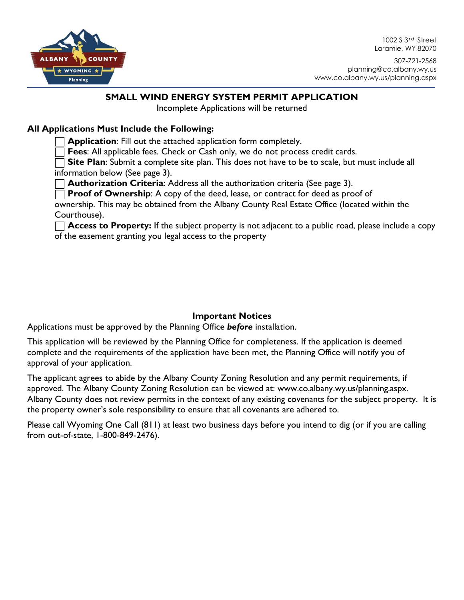

1002 S 3<sup>rd</sup> Street Laramie, WY 82070

307-721-2568 planning@co.albany.wy.us www.co.albany.wy.us/planning.aspx

# **SMALL WIND ENERGY SYSTEM PERMIT APPLICATION**

Incomplete Applications will be returned

# **All Applications Must Include the Following:**

**Application**: Fill out the attached application form completely.

**Fees**: All applicable fees. Check or Cash only, we do not process credit cards.

**Site Plan**: Submit a complete site plan. This does not have to be to scale, but must include all information below (See page 3).

**Authorization Criteria**: Address all the authorization criteria (See page 3).

**Proof of Ownership:** A copy of the deed, lease, or contract for deed as proof of

ownership. This may be obtained from the Albany County Real Estate Office (located within the Courthouse).

**Access to Property:** If the subject property is not adjacent to a public road, please include a copy of the easement granting you legal access to the property

# **Important Notices**

Applications must be approved by the Planning Office *before* installation.

This application will be reviewed by the Planning Office for completeness. If the application is deemed complete and the requirements of the application have been met, the Planning Office will notify you of approval of your application.

The applicant agrees to abide by the Albany County Zoning Resolution and any permit requirements, if approved. The Albany County Zoning Resolution can be viewed at: www.co.albany.wy.us/planning.aspx. Albany County does not review permits in the context of any existing covenants for the subject property. It is the property owner's sole responsibility to ensure that all covenants are adhered to.

Please call Wyoming One Call (811) at least two business days before you intend to dig (or if you are calling from out-of-state, 1-800-849-2476).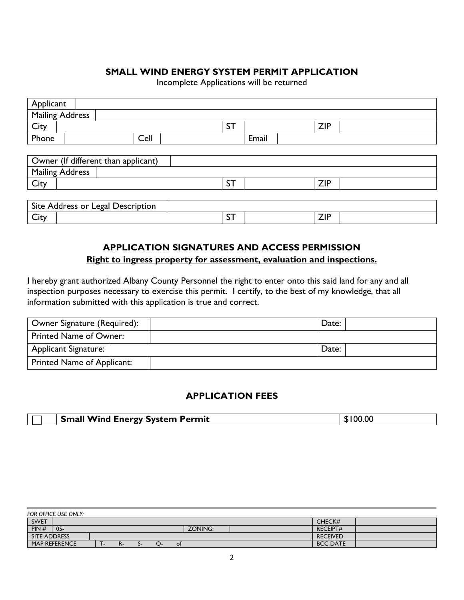### **SMALL WIND ENERGY SYSTEM PERMIT APPLICATION**

Incomplete Applications will be returned

| Applicant                           |      |           |       |            |  |  |  |
|-------------------------------------|------|-----------|-------|------------|--|--|--|
| <b>Mailing Address</b>              |      |           |       |            |  |  |  |
| City                                |      | <b>ST</b> |       | <b>ZIP</b> |  |  |  |
| Phone                               | Cell |           | Email |            |  |  |  |
|                                     |      |           |       |            |  |  |  |
| Owner (If different than applicant) |      |           |       |            |  |  |  |
| <b>Mailing Address</b>              |      |           |       |            |  |  |  |
| City                                |      | <b>ST</b> |       | <b>ZIP</b> |  |  |  |
|                                     |      |           |       |            |  |  |  |
| Site Address or Legal Description   |      |           |       |            |  |  |  |
| City                                |      | ST        |       | <b>ZIP</b> |  |  |  |

# **APPLICATION SIGNATURES AND ACCESS PERMISSION Right to ingress property for assessment, evaluation and inspections.**

I hereby grant authorized Albany County Personnel the right to enter onto this said land for any and all inspection purposes necessary to exercise this permit. I certify, to the best of my knowledge, that all information submitted with this application is true and correct.

| Owner Signature (Required):   | Date: |  |
|-------------------------------|-------|--|
| <b>Printed Name of Owner:</b> |       |  |
| Applicant Signature:          | Date: |  |
| Printed Name of Applicant:    |       |  |

### **APPLICATION FEES**

| Small Wind Energy System Permit | \$100.00 |
|---------------------------------|----------|

|                     | FOR OFFICE USE ONLY: |  |    |  |  |                 |                 |  |
|---------------------|----------------------|--|----|--|--|-----------------|-----------------|--|
| <b>SWET</b>         |                      |  |    |  |  |                 | CHECK#          |  |
| PIN#                | $05 -$               |  |    |  |  | ZONING:         | <b>RECEIPT#</b> |  |
| <b>SITE ADDRESS</b> |                      |  |    |  |  | <b>RECEIVED</b> |                 |  |
|                     | MAP REFERENCE        |  | n- |  |  | 0t              | <b>BCC DATE</b> |  |